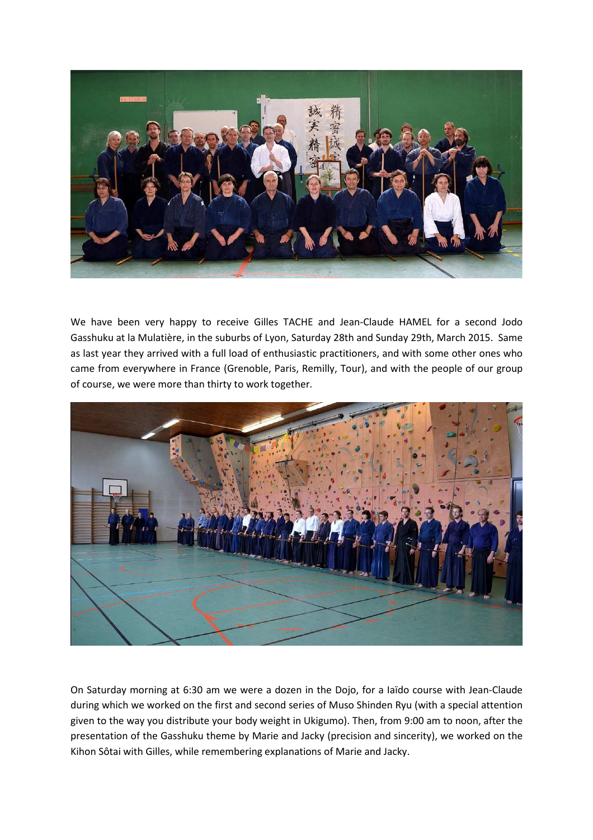

We have been very happy to receive Gilles TACHE and Jean-Claude HAMEL for a second Jodo Gasshuku at la Mulatière, in the suburbs of Lyon, Saturday 28th and Sunday 29th, March 2015. Same as last year they arrived with a full load of enthusiastic practitioners, and with some other ones who came from everywhere in France (Grenoble, Paris, Remilly, Tour), and with the people of our group of course, we were more than thirty to work together.



On Saturday morning at 6:30 am we were a dozen in the Dojo, for a Iaïdo course with Jean-Claude during which we worked on the first and second series of Muso Shinden Ryu (with a special attention given to the way you distribute your body weight in Ukigumo). Then, from 9:00 am to noon, after the presentation of the Gasshuku theme by Marie and Jacky (precision and sincerity), we worked on the Kihon Sôtai with Gilles, while remembering explanations of Marie and Jacky.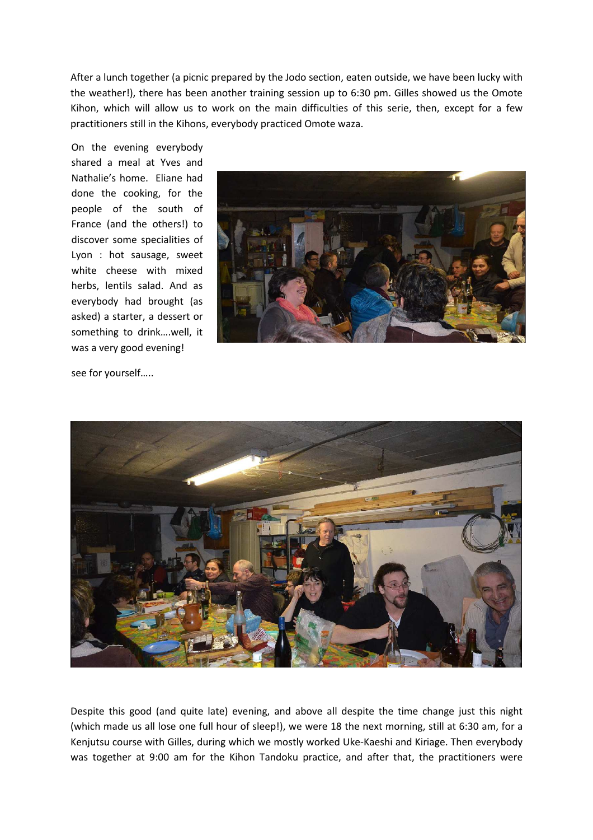After a lunch together (a picnic prepared by the Jodo section, eaten outside, we have been lucky with the weather!), there has been another training session up to 6:30 pm. Gilles showed us the Omote Kihon, which will allow us to work on the main difficulties of this serie, then, except for a few practitioners still in the Kihons, everybody practiced Omote waza.

On the evening everybody shared a meal at Yves and Nathalie's home. Eliane had done the cooking, for the people of the south of France (and the others!) to discover some specialities of Lyon : hot sausage, sweet white cheese with mixed herbs, lentils salad. And as everybody had brought (as asked) a starter, a dessert or something to drink….well, it was a very good evening!



see for yourself…..



Despite this good (and quite late) evening, and above all despite the time change just this night (which made us all lose one full hour of sleep!), we were 18 the next morning, still at 6:30 am, for a Kenjutsu course with Gilles, during which we mostly worked Uke-Kaeshi and Kiriage. Then everybody was together at 9:00 am for the Kihon Tandoku practice, and after that, the practitioners were